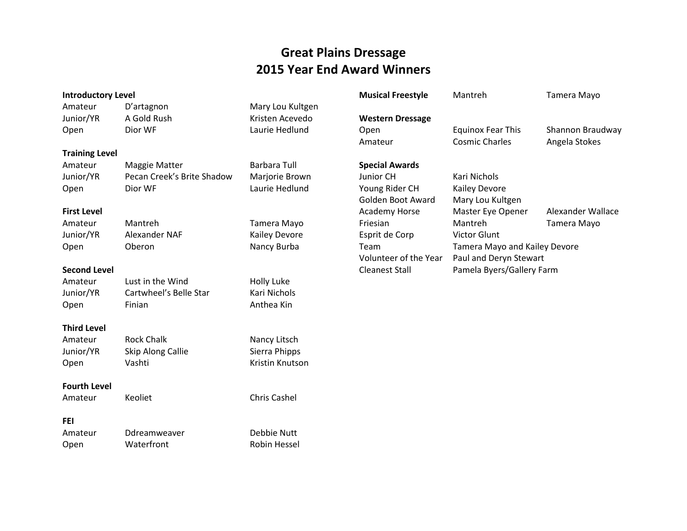#### **Great Plains Dressage 2015 Year End Award Winners**

#### **Introductory Level** Amateur D'artagnon Mary Lou Kultgen Junior/YR A Gold Rush Kristen Acevedo Open Dior WF Laurie Hedlund **Training Level** Amateur Maggie Matter **Barbara Tull** Junior/YR Pecan Creek's Brite Shadow Marjorie Brown Open Dior WF Laurie Hedlund **First Level** Amateur Mantreh Tamera Mayo Junior/YR Alexander NAF Kailey Devore Open Oberon Nancy Burba **Second Level** Amateur Lust in the Wind Holly Luke Junior/YR Cartwheel's Belle Star Kari Nichols Open Finian **Finian** Anthea Kin **Third Level** Amateur Rock Chalk Nancy Litsch Junior/YR Skip Along Callie Sierra Phipps Open Vashti Kristin Knutson **Fourth Level** Amateur Keoliet Chris Cashel **FEI** Amateur Ddreamweaver Debbie Nutt **Musical Freestyle** Mantreh Tamera Mayo **Western Dressage** Open Equinox Fear This Shannon Braudway Amateur **Cosmic Charles Angela Stokes Special Awards** Junior CH Kari Nichols Young Rider CH Kailey Devore Golden Boot Award Mary Lou Kultgen Academy Horse Master Eye Opener Alexander Wallace Friesian Mantreh Tamera Mayo Esprit de Corp Victor Glunt Team Tamera Mayo and Kailey Devore Volunteer of the Year Paul and Deryn Stewart Cleanest Stall Pamela Byers/Gallery Farm

Open Waterfront Robin Hessel